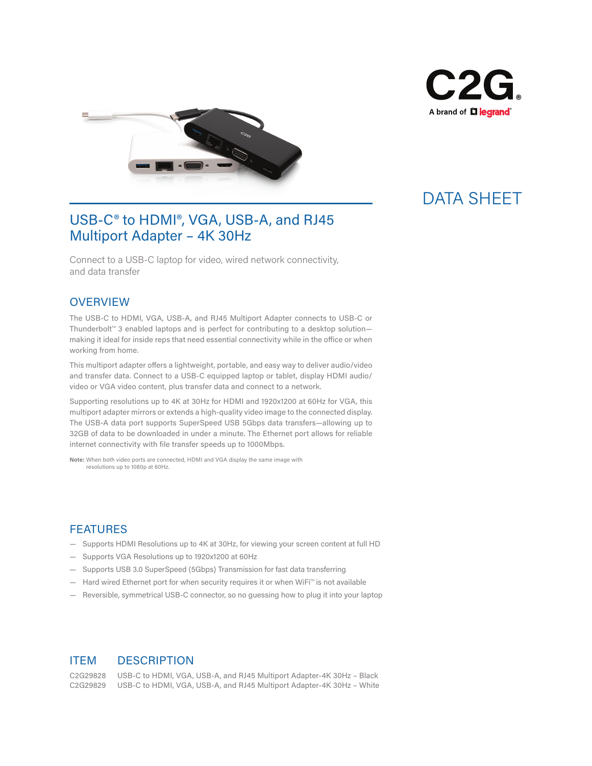



## DATA SHEET

### USB-C<sup>®</sup> to HDMI<sup>®</sup>, VGA, USB-A, and RJ45 Multiport Adapter – 4K 30Hz

Connect to a USB-C laptop for video, wired network connectivity, and data transfer

#### **OVERVIEW**

The USB-C to HDMI, VGA, USB-A, and RJ45 Multiport Adapter connects to USB-C or Thunderbolt™ 3 enabled laptops and is perfect for contributing to a desktop solution― making it ideal for inside reps that need essential connectivity while in the office or when working from home.

This multiport adapter offers a lightweight, portable, and easy way to deliver audio/video and transfer data. Connect to a USB-C equipped laptop or tablet, display HDMI audio/ video or VGA video content, plus transfer data and connect to a network.

Supporting resolutions up to 4K at 30Hz for HDMI and 1920x1200 at 60Hz for VGA, this multiport adapter mirrors or extends a high-quality video image to the connected display. The USB-A data port supports SuperSpeed USB 5Gbps data transfers―allowing up to 32GB of data to be downloaded in under a minute. The Ethernet port allows for reliable internet connectivity with file transfer speeds up to 1000Mbps.

**Note:** When both video ports are connected, HDMI and VGA display the same image with resolutions up to 1080p at 60Hz.

#### FEATURES

- Supports HDMI Resolutions up to 4K at 30Hz, for viewing your screen content at full HD
- Supports VGA Resolutions up to 1920x1200 at 60Hz
- Supports USB 3.0 SuperSpeed (5Gbps) Transmission for fast data transferring
- Hard wired Ethernet port for when security requires it or when WiFi™ is not available
- Reversible, symmetrical USB-C connector, so no guessing how to plug it into your laptop

### ITEM DESCRIPTION

C2G29828 USB-C to HDMI, VGA, USB-A, and RJ45 Multiport Adapter-4K 30Hz – Black C2G29829 USB-C to HDMI, VGA, USB-A, and RJ45 Multiport Adapter-4K 30Hz – White